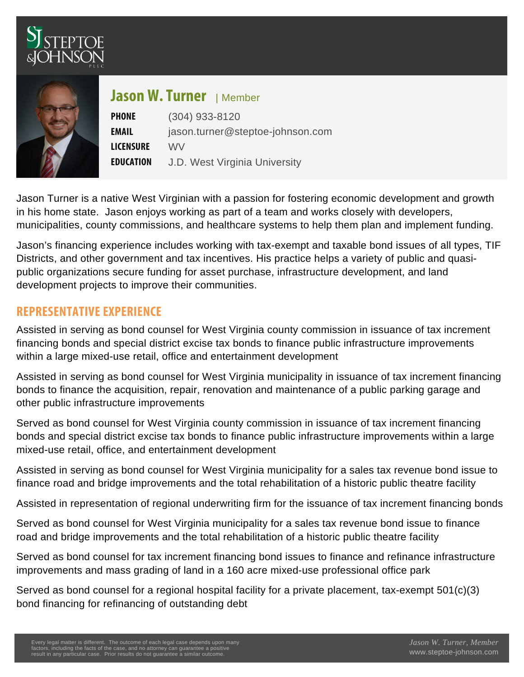# Jason W<sub>IMember</sub> rner

PHONE (304) 933-8120 EMAIL [jason.turner@steptoe-johnson.com](mailto:jason.turner@steptoe-johnson.com) **LICENSWRE** E D U C A TJD West Virginia University

Jason Turner is a native West Virginian with a passion for fostering economic development and growth in his home state. Jason enjoys working as part of a team and works closely with developers, municipalities, county commissions, and healthcare systems to help them plan and implement funding.

Jason's financing experience includes working with tax-exempt and taxable bond issues of all types, TIF Districts, and other government and tax incentives. His practice helps a variety of public and quasipublic organizations secure funding for asset purchase, infrastructure development, and land development projects to improve their communities.

## REPRESENTATIVE EXPERIENCE

Assisted in serving as bond counsel for West Virginia county commission in issuance of tax increment financing bonds and special district excise tax bonds to finance public infrastructure improvements within a large mixed-use retail, office and entertainment development

Assisted in serving as bond counsel for West Virginia municipality in issuance of tax increment financing bonds to finance the acquisition, repair, renovation and maintenance of a public parking garage and other public infrastructure improvements

Served as bond counsel for West Virginia county commission in issuance of tax increment financing bonds and special district excise tax bonds to finance public infrastructure improvements within a large mixed-use retail, office, and entertainment development

Assisted in serving as bond counsel for West Virginia municipality for a sales tax revenue bond issue to finance road and bridge improvements and the total rehabilitation of a historic public theatre facility

Assisted in representation of regional underwriting firm for the issuance of tax increment financing bonds

Served as bond counsel for West Virginia municipality for a sales tax revenue bond issue to finance road and bridge improvements and the total rehabilitation of a historic public theatre facility

Served as bond counsel for tax increment financing bond issues to finance and refinance infrastructure improvements and mass grading of land in a 160 acre mixed-use professional office park

Served as bond counsel for a regional hospital facility for a private placement, tax-exempt 501(c)(3) bond financing for refinancing of outstanding debt